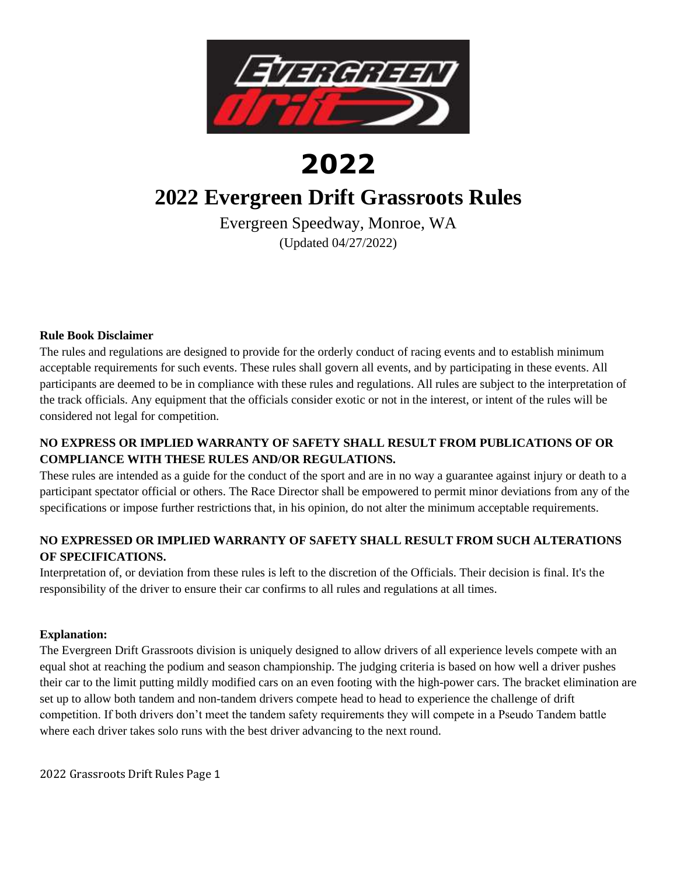

# **2022**

# **2022 Evergreen Drift Grassroots Rules**

Evergreen Speedway, Monroe, WA (Updated 04/27/2022)

#### **Rule Book Disclaimer**

The rules and regulations are designed to provide for the orderly conduct of racing events and to establish minimum acceptable requirements for such events. These rules shall govern all events, and by participating in these events. All participants are deemed to be in compliance with these rules and regulations. All rules are subject to the interpretation of the track officials. Any equipment that the officials consider exotic or not in the interest, or intent of the rules will be considered not legal for competition.

# **NO EXPRESS OR IMPLIED WARRANTY OF SAFETY SHALL RESULT FROM PUBLICATIONS OF OR COMPLIANCE WITH THESE RULES AND/OR REGULATIONS.**

These rules are intended as a guide for the conduct of the sport and are in no way a guarantee against injury or death to a participant spectator official or others. The Race Director shall be empowered to permit minor deviations from any of the specifications or impose further restrictions that, in his opinion, do not alter the minimum acceptable requirements.

## **NO EXPRESSED OR IMPLIED WARRANTY OF SAFETY SHALL RESULT FROM SUCH ALTERATIONS OF SPECIFICATIONS.**

Interpretation of, or deviation from these rules is left to the discretion of the Officials. Their decision is final. It's the responsibility of the driver to ensure their car confirms to all rules and regulations at all times.

#### **Explanation:**

The Evergreen Drift Grassroots division is uniquely designed to allow drivers of all experience levels compete with an equal shot at reaching the podium and season championship. The judging criteria is based on how well a driver pushes their car to the limit putting mildly modified cars on an even footing with the high-power cars. The bracket elimination are set up to allow both tandem and non-tandem drivers compete head to head to experience the challenge of drift competition. If both drivers don't meet the tandem safety requirements they will compete in a Pseudo Tandem battle where each driver takes solo runs with the best driver advancing to the next round.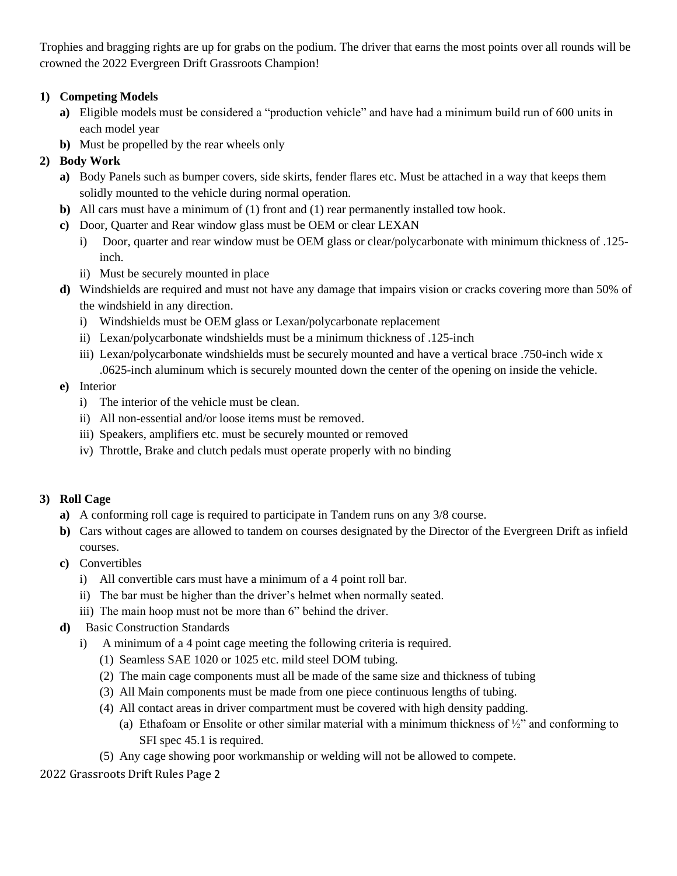Trophies and bragging rights are up for grabs on the podium. The driver that earns the most points over all rounds will be crowned the 2022 Evergreen Drift Grassroots Champion!

# **1) Competing Models**

- **a)** Eligible models must be considered a "production vehicle" and have had a minimum build run of 600 units in each model year
- **b)** Must be propelled by the rear wheels only

# **2) Body Work**

- **a)** Body Panels such as bumper covers, side skirts, fender flares etc. Must be attached in a way that keeps them solidly mounted to the vehicle during normal operation.
- **b)** All cars must have a minimum of (1) front and (1) rear permanently installed tow hook.
- **c)** Door, Quarter and Rear window glass must be OEM or clear LEXAN
	- i) Door, quarter and rear window must be OEM glass or clear/polycarbonate with minimum thickness of .125 inch.
	- ii) Must be securely mounted in place
- **d)** Windshields are required and must not have any damage that impairs vision or cracks covering more than 50% of the windshield in any direction.
	- i) Windshields must be OEM glass or Lexan/polycarbonate replacement
	- ii) Lexan/polycarbonate windshields must be a minimum thickness of .125-inch
	- iii) Lexan/polycarbonate windshields must be securely mounted and have a vertical brace .750-inch wide x .0625-inch aluminum which is securely mounted down the center of the opening on inside the vehicle.

# **e)** Interior

- i) The interior of the vehicle must be clean.
- ii) All non-essential and/or loose items must be removed.
- iii) Speakers, amplifiers etc. must be securely mounted or removed
- iv) Throttle, Brake and clutch pedals must operate properly with no binding

# **3) Roll Cage**

- **a)** A conforming roll cage is required to participate in Tandem runs on any 3/8 course.
- **b)** Cars without cages are allowed to tandem on courses designated by the Director of the Evergreen Drift as infield courses.
- **c)** Convertibles
	- i) All convertible cars must have a minimum of a 4 point roll bar.
	- ii) The bar must be higher than the driver's helmet when normally seated.
	- iii) The main hoop must not be more than 6" behind the driver.
- **d)** Basic Construction Standards
	- i) A minimum of a 4 point cage meeting the following criteria is required.
		- (1) Seamless SAE 1020 or 1025 etc. mild steel DOM tubing.
		- (2) The main cage components must all be made of the same size and thickness of tubing
		- (3) All Main components must be made from one piece continuous lengths of tubing.
		- (4) All contact areas in driver compartment must be covered with high density padding.
			- (a) Ethafoam or Ensolite or other similar material with a minimum thickness of ½" and conforming to SFI spec 45.1 is required.
		- (5) Any cage showing poor workmanship or welding will not be allowed to compete.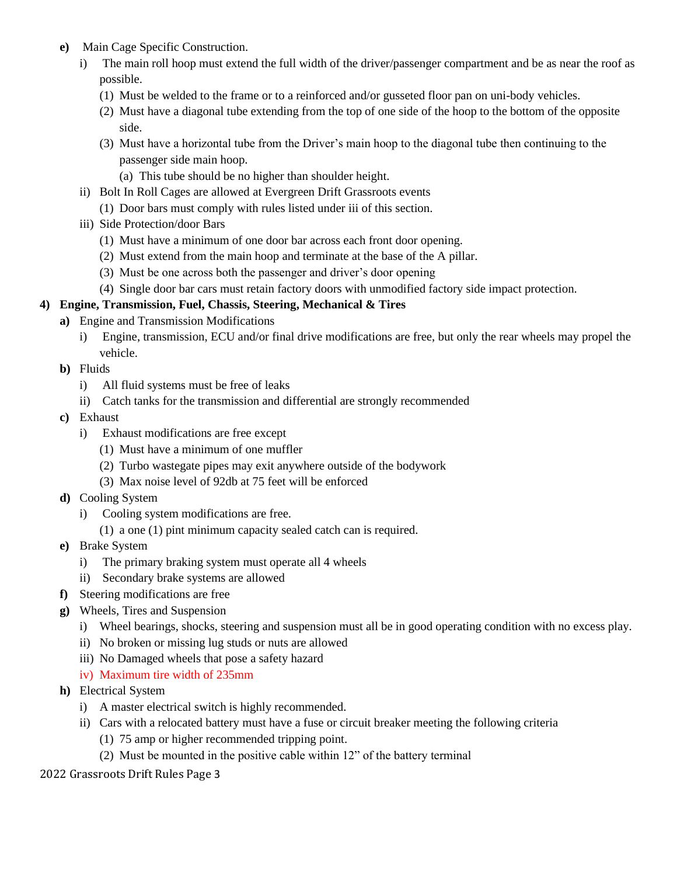- **e)** Main Cage Specific Construction.
	- i) The main roll hoop must extend the full width of the driver/passenger compartment and be as near the roof as possible.
		- (1) Must be welded to the frame or to a reinforced and/or gusseted floor pan on uni-body vehicles.
		- (2) Must have a diagonal tube extending from the top of one side of the hoop to the bottom of the opposite side.
		- (3) Must have a horizontal tube from the Driver's main hoop to the diagonal tube then continuing to the passenger side main hoop.
			- (a) This tube should be no higher than shoulder height.
	- ii) Bolt In Roll Cages are allowed at Evergreen Drift Grassroots events
		- (1) Door bars must comply with rules listed under iii of this section.
	- iii) Side Protection/door Bars
		- (1) Must have a minimum of one door bar across each front door opening.
		- (2) Must extend from the main hoop and terminate at the base of the A pillar.
		- (3) Must be one across both the passenger and driver's door opening
	- (4) Single door bar cars must retain factory doors with unmodified factory side impact protection.

#### **4) Engine, Transmission, Fuel, Chassis, Steering, Mechanical & Tires**

- **a)** Engine and Transmission Modifications
	- i) Engine, transmission, ECU and/or final drive modifications are free, but only the rear wheels may propel the vehicle.
- **b)** Fluids
	- i) All fluid systems must be free of leaks
	- ii) Catch tanks for the transmission and differential are strongly recommended
- **c)** Exhaust
	- i) Exhaust modifications are free except
		- (1) Must have a minimum of one muffler
		- (2) Turbo wastegate pipes may exit anywhere outside of the bodywork
		- (3) Max noise level of 92db at 75 feet will be enforced
- **d)** Cooling System
	- i) Cooling system modifications are free.
		- (1) a one (1) pint minimum capacity sealed catch can is required.
- **e)** Brake System
	- i) The primary braking system must operate all 4 wheels
	- ii) Secondary brake systems are allowed
- **f)** Steering modifications are free
- **g)** Wheels, Tires and Suspension
	- i) Wheel bearings, shocks, steering and suspension must all be in good operating condition with no excess play.
	- ii) No broken or missing lug studs or nuts are allowed
	- iii) No Damaged wheels that pose a safety hazard
	- iv) Maximum tire width of 235mm
- **h)** Electrical System
	- i) A master electrical switch is highly recommended.
	- ii) Cars with a relocated battery must have a fuse or circuit breaker meeting the following criteria
		- (1) 75 amp or higher recommended tripping point.
		- (2) Must be mounted in the positive cable within 12" of the battery terminal